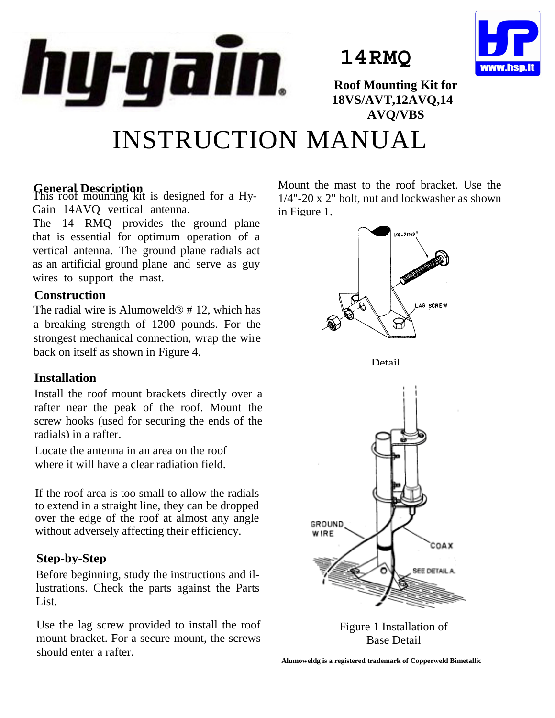

**14RMQ**



**Roof Mounting Kit for 18VS/AVT,12AVQ,14 AVQ/VBS**

# INSTRUCTION MANUAL

**General Description** This roof mounting kit is designed for a Hy-Gain 14AVQ vertical antenna.

The 14 RMQ provides the ground plane that is essential for optimum operation of a vertical antenna. The ground plane radials act as an artificial ground plane and serve as guy wires to support the mast.

## **Construction**

The radial wire is Alumoweld<sup>®</sup> # 12, which has a breaking strength of 1200 pounds. For the strongest mechanical connection, wrap the wire back on itself as shown in Figure 4.

# **Installation**

Install the roof mount brackets directly over a rafter near the peak of the roof. Mount the screw hooks (used for securing the ends of the radials) in a rafter.

Locate the antenna in an area on the roof where it will have a clear radiation field.

If the roof area is too small to allow the radials to extend in a straight line, they can be dropped over the edge of the roof at almost any angle without adversely affecting their efficiency.

# **Step-by-Step**

Before beginning, study the instructions and illustrations. Check the parts against the Parts List.

Use the lag screw provided to install the roof mount bracket. For a secure mount, the screws should enter a rafter.

Mount the mast to the roof bracket. Use the 1/4"-20 x 2" bolt, nut and lockwasher as shown in Figure 1.



Figure 1 Installation of Base Detail

**Alumoweldg is a registered trademark of Copperweld Bimetallic**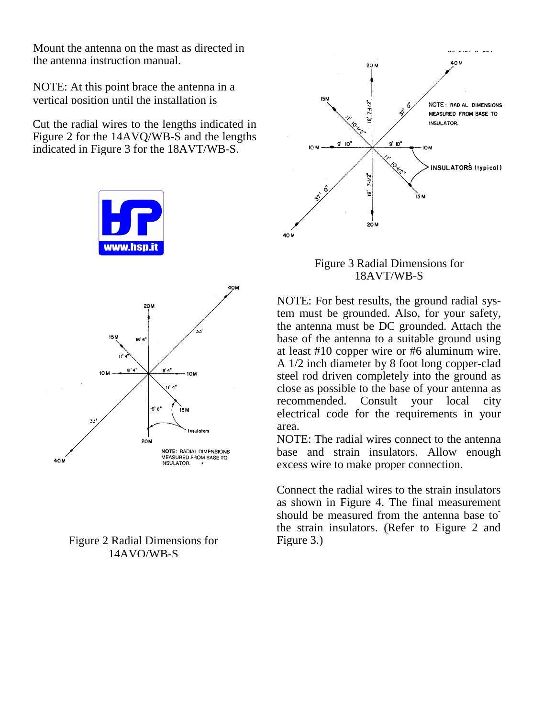Mount the antenna on the mast as directed in the antenna instruction manual.

NOTE: At this point brace the antenna in a vertical position until the installation is

Cut the radial wires to the lengths indicated in Figure 2 for the 14AVQ/WB-S and the lengths indicated in Figure 3 for the 18AVT/WB-S.







### Figure 3 Radial Dimensions for 18AVT/WB-S

NOTE: For best results, the ground radial system must be grounded. Also, for your safety, the antenna must be DC grounded. Attach the base of the antenna to a suitable ground using at least #10 copper wire or #6 aluminum wire. A 1/2 inch diameter by 8 foot long copper-clad steel rod driven completely into the ground as close as possible to the base of your antenna as recommended. Consult your local city electrical code for the requirements in your area.

NOTE: The radial wires connect to the antenna base and strain insulators. Allow enough excess wire to make proper connection.

Connect the radial wires to the strain insulators as shown in Figure 4. The final measurement should be measured from the antenna base to the strain insulators. (Refer to Figure 2 and Figure 3.)